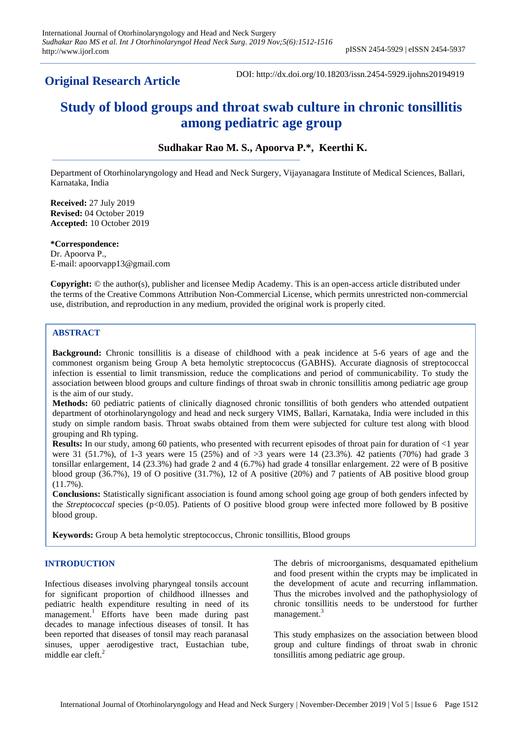## **Original Research Article**

DOI: http://dx.doi.org/10.18203/issn.2454-5929.ijohns20194919

# **Study of blood groups and throat swab culture in chronic tonsillitis among pediatric age group**

**Sudhakar Rao M. S., Apoorva P.\*, Keerthi K.**

Department of Otorhinolaryngology and Head and Neck Surgery, Vijayanagara Institute of Medical Sciences, Ballari, Karnataka, India

**Received:** 27 July 2019 **Revised:** 04 October 2019 **Accepted:** 10 October 2019

**\*Correspondence:** Dr. Apoorva P., E-mail: apoorvapp13@gmail.com

**Copyright:** © the author(s), publisher and licensee Medip Academy. This is an open-access article distributed under the terms of the Creative Commons Attribution Non-Commercial License, which permits unrestricted non-commercial use, distribution, and reproduction in any medium, provided the original work is properly cited.

## **ABSTRACT**

**Background:** Chronic tonsillitis is a disease of childhood with a peak incidence at 5-6 years of age and the commonest organism being Group A beta hemolytic streptococcus (GABHS). Accurate diagnosis of streptococcal infection is essential to limit transmission, reduce the complications and period of communicability. To study the association between blood groups and culture findings of throat swab in chronic tonsillitis among pediatric age group is the aim of our study.

**Methods:** 60 pediatric patients of clinically diagnosed chronic tonsillitis of both genders who attended outpatient department of otorhinolaryngology and head and neck surgery VIMS, Ballari, Karnataka, India were included in this study on simple random basis. Throat swabs obtained from them were subjected for culture test along with blood grouping and Rh typing.

**Results:** In our study, among 60 patients, who presented with recurrent episodes of throat pain for duration of  $\lt 1$  year were 31 (51.7%), of 1-3 years were 15 (25%) and of >3 years were 14 (23.3%). 42 patients (70%) had grade 3 tonsillar enlargement, 14 (23.3%) had grade 2 and 4 (6.7%) had grade 4 tonsillar enlargement. 22 were of B positive blood group (36.7%), 19 of O positive (31.7%), 12 of A positive (20%) and 7 patients of AB positive blood group (11.7%).

**Conclusions:** Statistically significant association is found among school going age group of both genders infected by the *Streptococcal* species (p<0.05). Patients of O positive blood group were infected more followed by B positive blood group.

**Keywords:** Group A beta hemolytic streptococcus, Chronic tonsillitis, Blood groups

## **INTRODUCTION**

Infectious diseases involving pharyngeal tonsils account for significant proportion of childhood illnesses and pediatric health expenditure resulting in need of its management.<sup>1</sup> Efforts have been made during past decades to manage infectious diseases of tonsil. It has been reported that diseases of tonsil may reach paranasal sinuses, upper aerodigestive tract, Eustachian tube, middle ear cleft.<sup>2</sup>

The debris of microorganisms, desquamated epithelium and food present within the crypts may be implicated in the development of acute and recurring inflammation. Thus the microbes involved and the pathophysiology of chronic tonsillitis needs to be understood for further management. 3

This study emphasizes on the association between blood group and culture findings of throat swab in chronic tonsillitis among pediatric age group.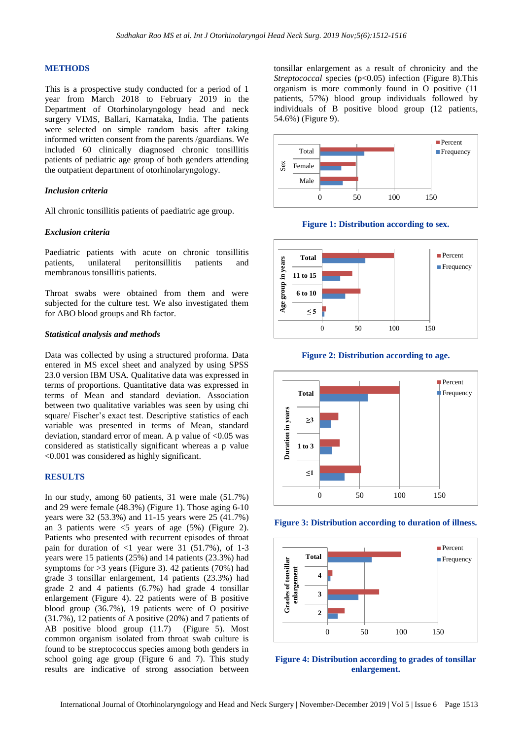#### **METHODS**

This is a prospective study conducted for a period of 1 year from March 2018 to February 2019 in the Department of Otorhinolaryngology head and neck surgery VIMS, Ballari, Karnataka, India. The patients were selected on simple random basis after taking informed written consent from the parents /guardians. We included 60 clinically diagnosed chronic tonsillitis patients of pediatric age group of both genders attending the outpatient department of otorhinolaryngology.

#### *Inclusion criteria*

All chronic tonsillitis patients of paediatric age group.

#### *Exclusion criteria*

Paediatric patients with acute on chronic tonsillitis patients, unilateral peritonsillitis patients and membranous tonsillitis patients.

Throat swabs were obtained from them and were subjected for the culture test. We also investigated them for ABO blood groups and Rh factor.

#### *Statistical analysis and methods*

Data was collected by using a structured proforma. Data entered in MS excel sheet and analyzed by using SPSS 23.0 version IBM USA. Qualitative data was expressed in terms of proportions. Quantitative data was expressed in terms of Mean and standard deviation. Association between two qualitative variables was seen by using chi square/ Fischer's exact test. Descriptive statistics of each variable was presented in terms of Mean, standard deviation, standard error of mean. A p value of <0.05 was considered as statistically significant whereas a p value <0.001 was considered as highly significant.

## **RESULTS**

In our study, among 60 patients, 31 were male (51.7%) and 29 were female (48.3%) (Figure 1). Those aging 6-10 years were 32 (53.3%) and 11-15 years were 25 (41.7%) an 3 patients were  $\leq$  years of age (5%) (Figure 2). Patients who presented with recurrent episodes of throat pain for duration of  $\langle 1 \rangle$  year were 31 (51.7%), of 1-3 years were 15 patients (25%) and 14 patients (23.3%) had symptoms for  $>3$  years (Figure 3). 42 patients (70%) had grade 3 tonsillar enlargement, 14 patients (23.3%) had grade 2 and 4 patients (6.7%) had grade 4 tonsillar enlargement (Figure 4). 22 patients were of B positive blood group (36.7%), 19 patients were of O positive (31.7%), 12 patients of A positive (20%) and 7 patients of AB positive blood group (11.7) (Figure 5). Most common organism isolated from throat swab culture is found to be streptococcus species among both genders in school going age group (Figure 6 and 7). This study results are indicative of strong association between tonsillar enlargement as a result of chronicity and the *Streptococcal* species (p<0.05) infection (Figure 8). This organism is more commonly found in O positive (11 patients, 57%) blood group individuals followed by individuals of B positive blood group (12 patients, 54.6%) (Figure 9).



**Figure 1: Distribution according to sex.**



**Figure 2: Distribution according to age.**







**Figure 4: Distribution according to grades of tonsillar enlargement.**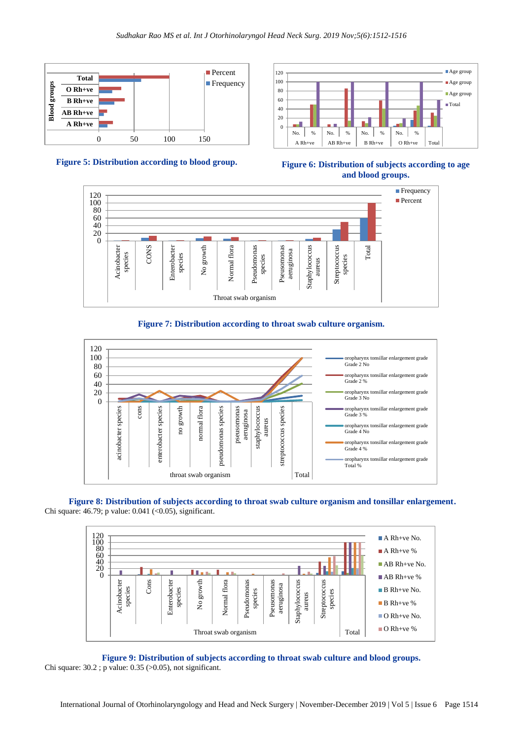











**Figure 8: Distribution of subjects according to throat swab culture organism and tonsillar enlargement.** Chi square: 46.79; p value: 0.041 (<0.05), significant.



**Figure 9: Distribution of subjects according to throat swab culture and blood groups.** Chi square: 30.2 ; p value: 0.35 (>0.05), not significant.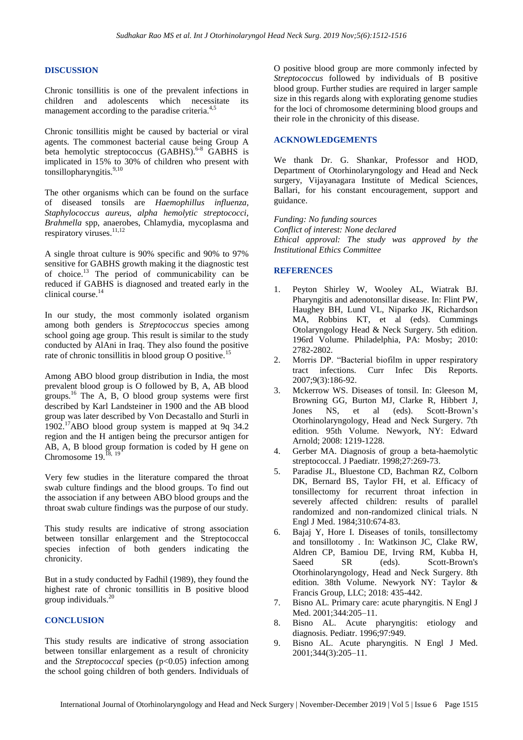#### **DISCUSSION**

Chronic tonsillitis is one of the prevalent infections in children and adolescents which necessitate its management according to the paradise criteria.<sup>4,5</sup>

Chronic tonsillitis might be caused by bacterial or viral agents. The commonest bacterial cause being Group A beta hemolytic streptococcus (GABHS).<sup>6-8</sup> GABHS is implicated in 15% to 30% of children who present with tonsillopharyngitis.<sup>9,10</sup>

The other organisms which can be found on the surface of diseased tonsils are *Haemophillus influenza, Staphylococcus aureus, alpha hemolytic streptococci, Brahmella* spp, anaerobes, Chlamydia, mycoplasma and respiratory viruses.<sup>11,12</sup>

A single throat culture is 90% specific and 90% to 97% sensitive for GABHS growth making it the diagnostic test of choice.<sup>13</sup> The period of communicability can be reduced if GABHS is diagnosed and treated early in the clinical course.<sup>14</sup>

In our study, the most commonly isolated organism among both genders is *Streptococcus* species among school going age group. This result is similar to the study conducted by AlAni in Iraq. They also found the positive rate of chronic tonsillitis in blood group O positive.<sup>15</sup>

Among ABO blood group distribution in India, the most prevalent blood group is O followed by B, A, AB blood groups. $16$  The A, B, O blood group systems were first described by Karl Landsteiner in 1900 and the AB blood group was later described by Von Decastallo and Sturli in 1902.<sup>17</sup>ABO blood group system is mapped at 9q 34.2 region and the H antigen being the precursor antigen for AB, A, B blood group formation is coded by H gene on Chromosome  $19.^{18, 19}$ 

Very few studies in the literature compared the throat swab culture findings and the blood groups. To find out the association if any between ABO blood groups and the throat swab culture findings was the purpose of our study.

This study results are indicative of strong association between tonsillar enlargement and the Streptococcal species infection of both genders indicating the chronicity.

But in a study conducted by Fadhil (1989), they found the highest rate of chronic tonsillitis in B positive blood group individuals.<sup>20</sup>

#### **CONCLUSION**

This study results are indicative of strong association between tonsillar enlargement as a result of chronicity and the *Streptococcal* species (p<0.05) infection among the school going children of both genders. Individuals of O positive blood group are more commonly infected by *Streptococcus* followed by individuals of B positive blood group. Further studies are required in larger sample size in this regards along with explorating genome studies for the loci of chromosome determining blood groups and their role in the chronicity of this disease.

## **ACKNOWLEDGEMENTS**

We thank Dr. G. Shankar, Professor and HOD, Department of Otorhinolaryngology and Head and Neck surgery, Vijayanagara Institute of Medical Sciences, Ballari, for his constant encouragement, support and guidance.

*Funding: No funding sources Conflict of interest: None declared Ethical approval: The study was approved by the Institutional Ethics Committee*

#### **REFERENCES**

- 1. Peyton Shirley W, Wooley AL, Wiatrak BJ. Pharyngitis and adenotonsillar disease. In: Flint PW, Haughey BH, Lund VL, Niparko JK, Richardson MA, Robbins KT, et al (eds). Cummings Otolaryngology Head & Neck Surgery. 5th edition. 196rd Volume. Philadelphia, PA: Mosby; 2010: 2782-2802.
- 2. Morris DP. "Bacterial biofilm in upper respiratory tract infections. Curr Infec Dis Reports. 2007;9(3):186-92.
- 3. Mckerrow WS. Diseases of tonsil. In: Gleeson M, Browning GG, Burton MJ, Clarke R, Hibbert J, Jones NS, et al (eds). Scott-Brown's Otorhinolaryngology, Head and Neck Surgery. 7th edition. 95th Volume. Newyork, NY: Edward Arnold; 2008: 1219-1228.
- 4. Gerber MA. Diagnosis of group a beta-haemolytic streptococcal. J Paediatr. 1998;27:269-73.
- 5. Paradise JL, Bluestone CD, Bachman RZ, Colborn DK, Bernard BS, Taylor FH, et al. Efficacy of tonsillectomy for recurrent throat infection in severely affected children: results of parallel randomized and non-randomized clinical trials. N Engl J Med. 1984;310:674-83.
- 6. Bajaj Y, Hore I. Diseases of tonils, tonsillectomy and tonsillotomy . In: Watkinson JC, Clake RW, Aldren CP, Bamiou DE, Irving RM, Kubba H, Saeed SR (eds). Scott-Brown's Otorhinolaryngology, Head and Neck Surgery. 8th edition. 38th Volume. Newyork NY: Taylor & Francis Group, LLC; 2018: 435-442.
- 7. Bisno AL. Primary care: acute pharyngitis. N Engl J Med. 2001;344:205–11.
- 8. Bisno AL. Acute pharyngitis: etiology and diagnosis. Pediatr. 1996;97:949.
- 9. Bisno AL. Acute pharyngitis. N Engl J Med. 2001;344(3):205–11.